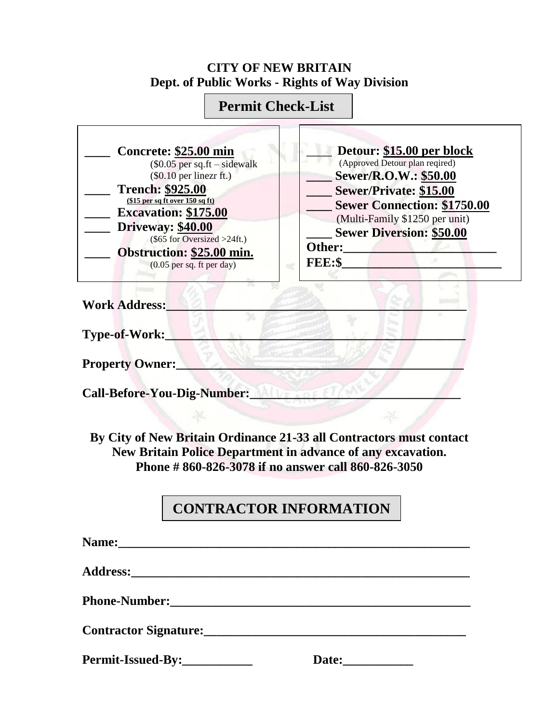## **CITY OF NEW BRITAIN Dept. of Public Works - Rights of Way Division**

## **Permit Check-List**

| Concrete: \$25.00 min<br>$$0.05$ per sq.ft – sidewalk<br>$(\$0.10$ per linezr ft.)<br><b>Trench: \$925.00</b><br>$$15$ per sq ft over $150$ sq ft)<br><b>Excavation: \$175.00</b><br>Driveway: \$40.00<br>$(\$65$ for Oversized >24ft.)<br>Obstruction: \$25.00 min.<br>$(0.05$ per sq. ft per day) | Detour: \$15.00 per block<br>(Approved Detour plan reqired)<br>Sewer/R.O.W.: \$50.00<br>Sewer/Private: \$15.00<br><b>Sewer Connection: \$1750.00</b><br>(Multi-Family \$1250 per unit)<br><b>Sewer Diversion: \$50.00</b><br>Other:<br>FEE:S |  |
|-----------------------------------------------------------------------------------------------------------------------------------------------------------------------------------------------------------------------------------------------------------------------------------------------------|----------------------------------------------------------------------------------------------------------------------------------------------------------------------------------------------------------------------------------------------|--|
| <b>Work Address:</b>                                                                                                                                                                                                                                                                                |                                                                                                                                                                                                                                              |  |
| Type-of-Work:                                                                                                                                                                                                                                                                                       |                                                                                                                                                                                                                                              |  |
| <b>Property Owner:</b>                                                                                                                                                                                                                                                                              |                                                                                                                                                                                                                                              |  |
| <b>Call-Before-You-Dig-Number:</b>                                                                                                                                                                                                                                                                  |                                                                                                                                                                                                                                              |  |
|                                                                                                                                                                                                                                                                                                     |                                                                                                                                                                                                                                              |  |

**By City of New Britain Ordinance 21-33 all Contractors must contact New Britain Police Department in advance of any excavation. Phone # 860-826-3078 if no answer call 860-826-3050**

## **CONTRACTOR INFORMATION**

| Phone-Number: Maria Maria Maria Maria Maria Maria Maria Maria Maria Maria Maria Maria Maria Maria Maria Maria M |  |
|-----------------------------------------------------------------------------------------------------------------|--|
|                                                                                                                 |  |
| Permit-Issued-By:                                                                                               |  |